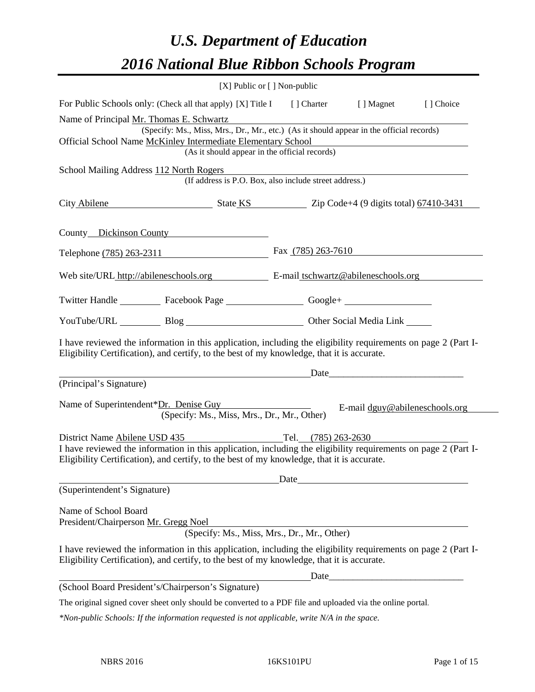# *U.S. Department of Education 2016 National Blue Ribbon Schools Program*

| $[X]$ Public or $[ \ ]$ Non-public                                                                                                                                                                           |                      |                                                                                                                                                                                                                                |           |
|--------------------------------------------------------------------------------------------------------------------------------------------------------------------------------------------------------------|----------------------|--------------------------------------------------------------------------------------------------------------------------------------------------------------------------------------------------------------------------------|-----------|
| For Public Schools only: (Check all that apply) [X] Title I [] Charter [] Magnet                                                                                                                             |                      |                                                                                                                                                                                                                                | [] Choice |
| Name of Principal Mr. Thomas E. Schwartz                                                                                                                                                                     |                      |                                                                                                                                                                                                                                |           |
| (Specify: Ms., Miss, Mrs., Dr., Mr., etc.) (As it should appear in the official records)                                                                                                                     |                      |                                                                                                                                                                                                                                |           |
| Official School Name McKinley Intermediate Elementary School<br>(As it should appear in the official records)                                                                                                |                      |                                                                                                                                                                                                                                |           |
|                                                                                                                                                                                                              |                      |                                                                                                                                                                                                                                |           |
| School Mailing Address 112 North Rogers<br>(If address is P.O. Box, also include street address.)                                                                                                            |                      |                                                                                                                                                                                                                                |           |
| City Abilene State KS Zip Code+4 (9 digits total) 67410-3431                                                                                                                                                 |                      |                                                                                                                                                                                                                                |           |
| County Dickinson County                                                                                                                                                                                      |                      |                                                                                                                                                                                                                                |           |
| Telephone (785) 263-2311                                                                                                                                                                                     | Fax $(785)$ 263-7610 |                                                                                                                                                                                                                                |           |
| Web site/URL http://abileneschools.org E-mail tschwartz@abileneschools.org                                                                                                                                   |                      |                                                                                                                                                                                                                                |           |
| Twitter Handle ____________ Facebook Page _____________________ Google+ ____________________________                                                                                                         |                      |                                                                                                                                                                                                                                |           |
| YouTube/URL Blog Blog Cher Social Media Link                                                                                                                                                                 |                      |                                                                                                                                                                                                                                |           |
| I have reviewed the information in this application, including the eligibility requirements on page 2 (Part I-<br>Eligibility Certification), and certify, to the best of my knowledge, that it is accurate. |                      |                                                                                                                                                                                                                                |           |
|                                                                                                                                                                                                              |                      | Date and the contract of the contract of the contract of the contract of the contract of the contract of the contract of the contract of the contract of the contract of the contract of the contract of the contract of the c |           |
| (Principal's Signature)                                                                                                                                                                                      |                      |                                                                                                                                                                                                                                |           |
| Name of Superintendent*Dr. Denise Guy<br>(Specify: Ms., Miss, Mrs., Dr., Mr., Other)                                                                                                                         |                      | E-mail dguy@abileneschools.org                                                                                                                                                                                                 |           |
| District Name Abilene USD 435                                                                                                                                                                                | Tel. (785) 263-2630  |                                                                                                                                                                                                                                |           |
| I have reviewed the information in this application, including the eligibility requirements on page 2 (Part I-<br>Eligibility Certification), and certify, to the best of my knowledge, that it is accurate. |                      |                                                                                                                                                                                                                                |           |
|                                                                                                                                                                                                              |                      |                                                                                                                                                                                                                                |           |
| (Superintendent's Signature)                                                                                                                                                                                 |                      |                                                                                                                                                                                                                                |           |
| Name of School Board                                                                                                                                                                                         |                      |                                                                                                                                                                                                                                |           |
| President/Chairperson Mr. Gregg Noel                                                                                                                                                                         |                      | <u> 1989 - Johann Barn, mars ann an t-Amhain an t-Amhain an t-Amhain an t-Amhain an t-Amhain an t-Amhain an t-Amh</u>                                                                                                          |           |
| (Specify: Ms., Miss, Mrs., Dr., Mr., Other)                                                                                                                                                                  |                      |                                                                                                                                                                                                                                |           |
| I have reviewed the information in this application, including the eligibility requirements on page 2 (Part I-<br>Eligibility Certification), and certify, to the best of my knowledge, that it is accurate. |                      |                                                                                                                                                                                                                                |           |
|                                                                                                                                                                                                              |                      | $\text{Date}$                                                                                                                                                                                                                  |           |
| (School Board President's/Chairperson's Signature)                                                                                                                                                           |                      |                                                                                                                                                                                                                                |           |
| The original signed cover sheet only should be converted to a PDF file and uploaded via the online portal.                                                                                                   |                      |                                                                                                                                                                                                                                |           |

*\*Non-public Schools: If the information requested is not applicable, write N/A in the space.*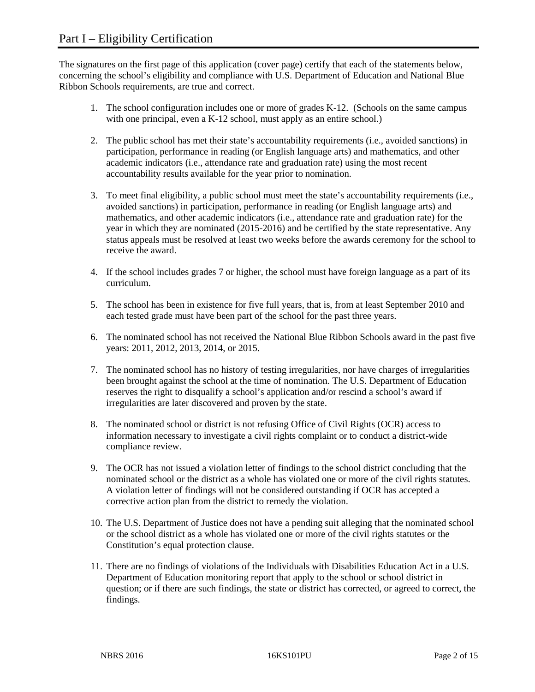The signatures on the first page of this application (cover page) certify that each of the statements below, concerning the school's eligibility and compliance with U.S. Department of Education and National Blue Ribbon Schools requirements, are true and correct.

- 1. The school configuration includes one or more of grades K-12. (Schools on the same campus with one principal, even a K-12 school, must apply as an entire school.)
- 2. The public school has met their state's accountability requirements (i.e., avoided sanctions) in participation, performance in reading (or English language arts) and mathematics, and other academic indicators (i.e., attendance rate and graduation rate) using the most recent accountability results available for the year prior to nomination.
- 3. To meet final eligibility, a public school must meet the state's accountability requirements (i.e., avoided sanctions) in participation, performance in reading (or English language arts) and mathematics, and other academic indicators (i.e., attendance rate and graduation rate) for the year in which they are nominated (2015-2016) and be certified by the state representative. Any status appeals must be resolved at least two weeks before the awards ceremony for the school to receive the award.
- 4. If the school includes grades 7 or higher, the school must have foreign language as a part of its curriculum.
- 5. The school has been in existence for five full years, that is, from at least September 2010 and each tested grade must have been part of the school for the past three years.
- 6. The nominated school has not received the National Blue Ribbon Schools award in the past five years: 2011, 2012, 2013, 2014, or 2015.
- 7. The nominated school has no history of testing irregularities, nor have charges of irregularities been brought against the school at the time of nomination. The U.S. Department of Education reserves the right to disqualify a school's application and/or rescind a school's award if irregularities are later discovered and proven by the state.
- 8. The nominated school or district is not refusing Office of Civil Rights (OCR) access to information necessary to investigate a civil rights complaint or to conduct a district-wide compliance review.
- 9. The OCR has not issued a violation letter of findings to the school district concluding that the nominated school or the district as a whole has violated one or more of the civil rights statutes. A violation letter of findings will not be considered outstanding if OCR has accepted a corrective action plan from the district to remedy the violation.
- 10. The U.S. Department of Justice does not have a pending suit alleging that the nominated school or the school district as a whole has violated one or more of the civil rights statutes or the Constitution's equal protection clause.
- 11. There are no findings of violations of the Individuals with Disabilities Education Act in a U.S. Department of Education monitoring report that apply to the school or school district in question; or if there are such findings, the state or district has corrected, or agreed to correct, the findings.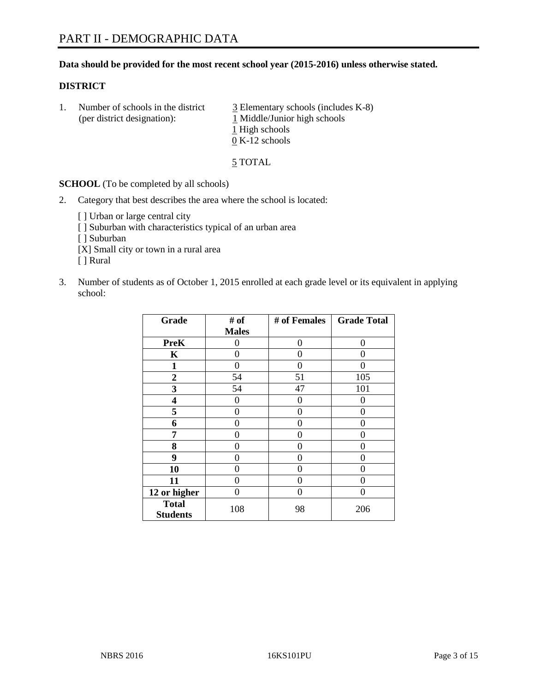#### **Data should be provided for the most recent school year (2015-2016) unless otherwise stated.**

#### **DISTRICT**

1. Number of schools in the district  $\frac{3}{2}$  Elementary schools (includes K-8) (per district designation): 1 Middle/Junior high schools 1 High schools 0 K-12 schools

5 TOTAL

**SCHOOL** (To be completed by all schools)

- 2. Category that best describes the area where the school is located:
	- [] Urban or large central city [ ] Suburban with characteristics typical of an urban area [ ] Suburban [X] Small city or town in a rural area [ ] Rural
- 3. Number of students as of October 1, 2015 enrolled at each grade level or its equivalent in applying school:

| Grade                           | # of         | # of Females | <b>Grade Total</b> |
|---------------------------------|--------------|--------------|--------------------|
|                                 | <b>Males</b> |              |                    |
| <b>PreK</b>                     | 0            | 0            | 0                  |
| $\mathbf K$                     | 0            | 0            | 0                  |
| 1                               | 0            | 0            | 0                  |
| $\boldsymbol{2}$                | 54           | 51           | 105                |
| 3                               | 54           | 47           | 101                |
| 4                               | 0            | 0            | $\theta$           |
| 5                               | 0            | 0            | 0                  |
| 6                               | 0            | 0            | 0                  |
| 7                               | 0            | 0            | 0                  |
| 8                               | 0            | 0            | 0                  |
| 9                               | 0            | 0            | $\mathbf{\Omega}$  |
| 10                              | 0            | 0            | 0                  |
| 11                              | 0            | 0            | 0                  |
| 12 or higher                    | 0            | 0            | 0                  |
| <b>Total</b><br><b>Students</b> | 108          | 98           | 206                |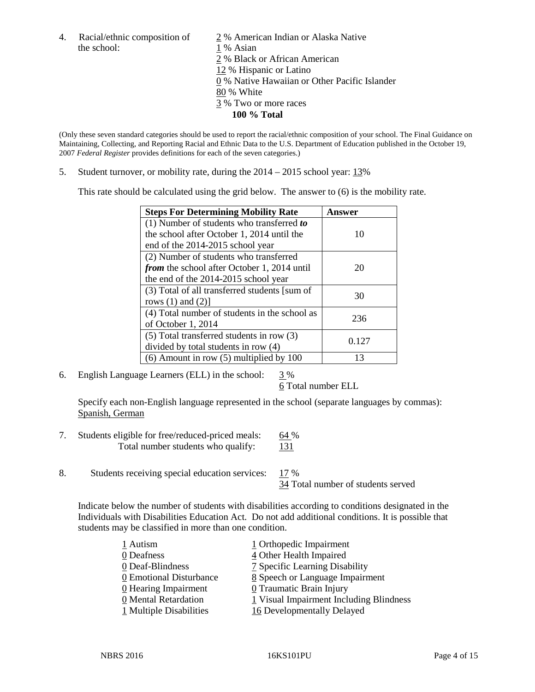the school: 1 % Asian

4. Racial/ethnic composition of  $\frac{2}{9}$ % American Indian or Alaska Native 2 % Black or African American 12 % Hispanic or Latino 0 % Native Hawaiian or Other Pacific Islander 80 % White 3 % Two or more races **100 % Total**

(Only these seven standard categories should be used to report the racial/ethnic composition of your school. The Final Guidance on Maintaining, Collecting, and Reporting Racial and Ethnic Data to the U.S. Department of Education published in the October 19, 2007 *Federal Register* provides definitions for each of the seven categories.)

5. Student turnover, or mobility rate, during the 2014 – 2015 school year: 13%

This rate should be calculated using the grid below. The answer to (6) is the mobility rate.

| <b>Steps For Determining Mobility Rate</b>         | Answer |  |
|----------------------------------------------------|--------|--|
| (1) Number of students who transferred to          |        |  |
| the school after October 1, 2014 until the         | 10     |  |
| end of the 2014-2015 school year                   |        |  |
| (2) Number of students who transferred             |        |  |
| <i>from</i> the school after October 1, 2014 until | 20     |  |
| the end of the 2014-2015 school year               |        |  |
| (3) Total of all transferred students [sum of      | 30     |  |
| rows $(1)$ and $(2)$ ]                             |        |  |
| (4) Total number of students in the school as      | 236    |  |
| of October 1, 2014                                 |        |  |
| $(5)$ Total transferred students in row $(3)$      | 0.127  |  |
| divided by total students in row (4)               |        |  |
| $(6)$ Amount in row $(5)$ multiplied by 100        | 13     |  |

6. English Language Learners (ELL) in the school:  $3\%$ 

6 Total number ELL

Specify each non-English language represented in the school (separate languages by commas): Spanish, German

- 7. Students eligible for free/reduced-priced meals: 64 % Total number students who qualify: 131
- 8. Students receiving special education services: 17 %

34 Total number of students served

Indicate below the number of students with disabilities according to conditions designated in the Individuals with Disabilities Education Act. Do not add additional conditions. It is possible that students may be classified in more than one condition.

| 1 Autism                  | 1 Orthopedic Impairment                 |
|---------------------------|-----------------------------------------|
| 0 Deafness                | 4 Other Health Impaired                 |
| 0 Deaf-Blindness          | 7 Specific Learning Disability          |
| 0 Emotional Disturbance   | 8 Speech or Language Impairment         |
| 0 Hearing Impairment      | 0 Traumatic Brain Injury                |
| 0 Mental Retardation      | 1 Visual Impairment Including Blindness |
| $1$ Multiple Disabilities | 16 Developmentally Delayed              |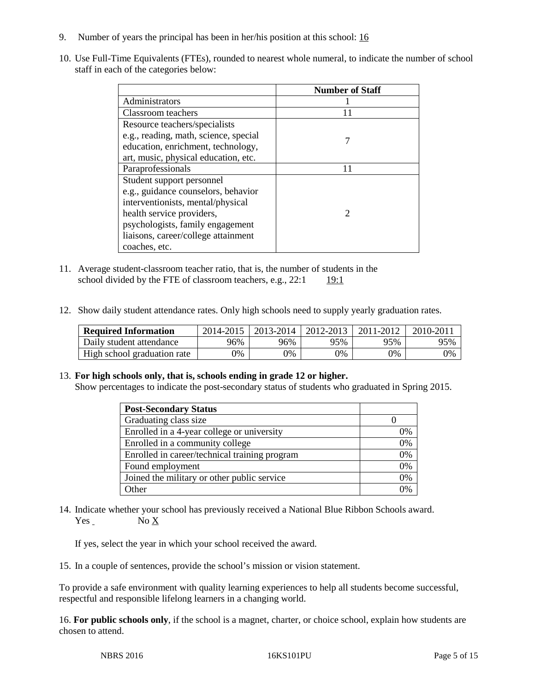- 9. Number of years the principal has been in her/his position at this school: 16
- 10. Use Full-Time Equivalents (FTEs), rounded to nearest whole numeral, to indicate the number of school staff in each of the categories below:

|                                       | <b>Number of Staff</b> |
|---------------------------------------|------------------------|
| Administrators                        |                        |
| Classroom teachers                    | 11                     |
| Resource teachers/specialists         |                        |
| e.g., reading, math, science, special |                        |
| education, enrichment, technology,    |                        |
| art, music, physical education, etc.  |                        |
| Paraprofessionals                     | 11                     |
| Student support personnel             |                        |
| e.g., guidance counselors, behavior   |                        |
| interventionists, mental/physical     |                        |
| health service providers,             | $\mathcal{D}$          |
| psychologists, family engagement      |                        |
| liaisons, career/college attainment   |                        |
| coaches, etc.                         |                        |

- 11. Average student-classroom teacher ratio, that is, the number of students in the school divided by the FTE of classroom teachers, e.g.,  $22:1$  19:1
- 12. Show daily student attendance rates. Only high schools need to supply yearly graduation rates.

| <b>Required Information</b> | 2014-2015 | 2013-2014 l | 2012-2013 | 2011-2012 | $2010 - 201$ |
|-----------------------------|-----------|-------------|-----------|-----------|--------------|
| Daily student attendance    | 96%       | 96%         | 95%       | 95%       | 95%          |
| High school graduation rate | 9%        | 0%          | 0%        | 9%        | 0%           |

#### 13. **For high schools only, that is, schools ending in grade 12 or higher.**

Show percentages to indicate the post-secondary status of students who graduated in Spring 2015.

| <b>Post-Secondary Status</b>                  |    |
|-----------------------------------------------|----|
| Graduating class size                         |    |
| Enrolled in a 4-year college or university    | 0% |
| Enrolled in a community college               | 0% |
| Enrolled in career/technical training program | 0% |
| Found employment                              | 0% |
| Joined the military or other public service   | 0% |
| Other                                         | 0/ |

14. Indicate whether your school has previously received a National Blue Ribbon Schools award. Yes No X

If yes, select the year in which your school received the award.

15. In a couple of sentences, provide the school's mission or vision statement.

To provide a safe environment with quality learning experiences to help all students become successful, respectful and responsible lifelong learners in a changing world.

16. **For public schools only**, if the school is a magnet, charter, or choice school, explain how students are chosen to attend.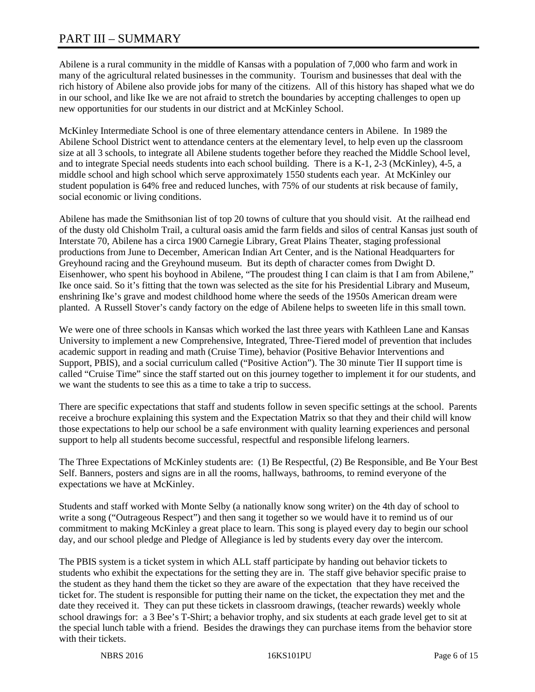# PART III – SUMMARY

Abilene is a rural community in the middle of Kansas with a population of 7,000 who farm and work in many of the agricultural related businesses in the community. Tourism and businesses that deal with the rich history of Abilene also provide jobs for many of the citizens. All of this history has shaped what we do in our school, and like Ike we are not afraid to stretch the boundaries by accepting challenges to open up new opportunities for our students in our district and at McKinley School.

McKinley Intermediate School is one of three elementary attendance centers in Abilene. In 1989 the Abilene School District went to attendance centers at the elementary level, to help even up the classroom size at all 3 schools, to integrate all Abilene students together before they reached the Middle School level, and to integrate Special needs students into each school building. There is a K-1, 2-3 (McKinley), 4-5, a middle school and high school which serve approximately 1550 students each year. At McKinley our student population is 64% free and reduced lunches, with 75% of our students at risk because of family, social economic or living conditions.

Abilene has made the Smithsonian list of top 20 towns of culture that you should visit. At the railhead end of the dusty old Chisholm Trail, a cultural oasis amid the farm fields and silos of central Kansas just south of Interstate 70, Abilene has a circa 1900 Carnegie Library, Great Plains Theater, staging professional productions from June to December, American Indian Art Center, and is the National Headquarters for Greyhound racing and the Greyhound museum. But its depth of character comes from Dwight D. Eisenhower, who spent his boyhood in Abilene, "The proudest thing I can claim is that I am from Abilene," Ike once said. So it's fitting that the town was selected as the site for his Presidential Library and Museum, enshrining Ike's grave and modest childhood home where the seeds of the 1950s American dream were planted. A Russell Stover's candy factory on the edge of Abilene helps to sweeten life in this small town.

We were one of three schools in Kansas which worked the last three years with Kathleen Lane and Kansas University to implement a new Comprehensive, Integrated, Three-Tiered model of prevention that includes academic support in reading and math (Cruise Time), behavior (Positive Behavior Interventions and Support, PBIS), and a social curriculum called ("Positive Action"). The 30 minute Tier II support time is called "Cruise Time" since the staff started out on this journey together to implement it for our students, and we want the students to see this as a time to take a trip to success.

There are specific expectations that staff and students follow in seven specific settings at the school. Parents receive a brochure explaining this system and the Expectation Matrix so that they and their child will know those expectations to help our school be a safe environment with quality learning experiences and personal support to help all students become successful, respectful and responsible lifelong learners.

The Three Expectations of McKinley students are: (1) Be Respectful, (2) Be Responsible, and Be Your Best Self. Banners, posters and signs are in all the rooms, hallways, bathrooms, to remind everyone of the expectations we have at McKinley.

Students and staff worked with Monte Selby (a nationally know song writer) on the 4th day of school to write a song ("Outrageous Respect") and then sang it together so we would have it to remind us of our commitment to making McKinley a great place to learn. This song is played every day to begin our school day, and our school pledge and Pledge of Allegiance is led by students every day over the intercom.

The PBIS system is a ticket system in which ALL staff participate by handing out behavior tickets to students who exhibit the expectations for the setting they are in. The staff give behavior specific praise to the student as they hand them the ticket so they are aware of the expectation that they have received the ticket for. The student is responsible for putting their name on the ticket, the expectation they met and the date they received it. They can put these tickets in classroom drawings, (teacher rewards) weekly whole school drawings for: a 3 Bee's T-Shirt; a behavior trophy, and six students at each grade level get to sit at the special lunch table with a friend. Besides the drawings they can purchase items from the behavior store with their tickets.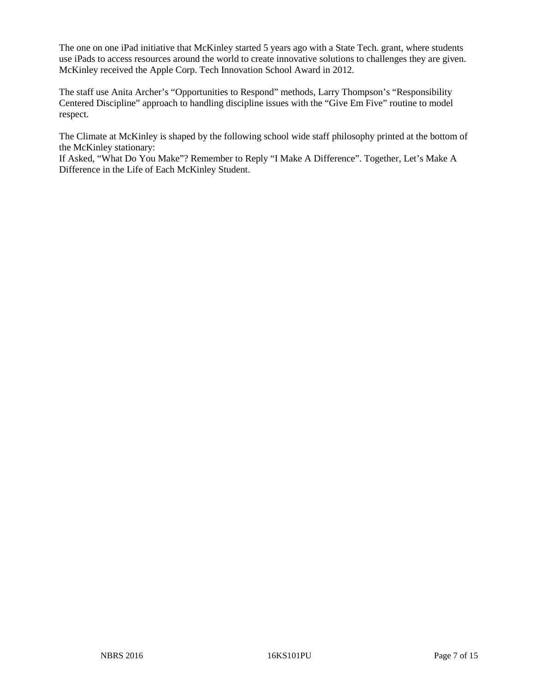The one on one iPad initiative that McKinley started 5 years ago with a State Tech. grant, where students use iPads to access resources around the world to create innovative solutions to challenges they are given. McKinley received the Apple Corp. Tech Innovation School Award in 2012.

The staff use Anita Archer's "Opportunities to Respond" methods, Larry Thompson's "Responsibility Centered Discipline" approach to handling discipline issues with the "Give Em Five" routine to model respect.

The Climate at McKinley is shaped by the following school wide staff philosophy printed at the bottom of the McKinley stationary:

If Asked, "What Do You Make"? Remember to Reply "I Make A Difference". Together, Let's Make A Difference in the Life of Each McKinley Student.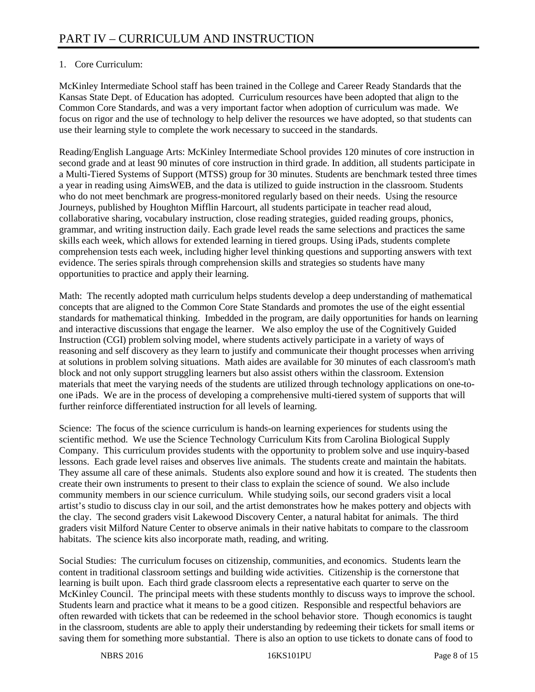# 1. Core Curriculum:

McKinley Intermediate School staff has been trained in the College and Career Ready Standards that the Kansas State Dept. of Education has adopted. Curriculum resources have been adopted that align to the Common Core Standards, and was a very important factor when adoption of curriculum was made. We focus on rigor and the use of technology to help deliver the resources we have adopted, so that students can use their learning style to complete the work necessary to succeed in the standards.

Reading/English Language Arts: McKinley Intermediate School provides 120 minutes of core instruction in second grade and at least 90 minutes of core instruction in third grade. In addition, all students participate in a Multi-Tiered Systems of Support (MTSS) group for 30 minutes. Students are benchmark tested three times a year in reading using AimsWEB, and the data is utilized to guide instruction in the classroom. Students who do not meet benchmark are progress-monitored regularly based on their needs. Using the resource Journeys, published by Houghton Mifflin Harcourt, all students participate in teacher read aloud, collaborative sharing, vocabulary instruction, close reading strategies, guided reading groups, phonics, grammar, and writing instruction daily. Each grade level reads the same selections and practices the same skills each week, which allows for extended learning in tiered groups. Using iPads, students complete comprehension tests each week, including higher level thinking questions and supporting answers with text evidence. The series spirals through comprehension skills and strategies so students have many opportunities to practice and apply their learning.

Math: The recently adopted math curriculum helps students develop a deep understanding of mathematical concepts that are aligned to the Common Core State Standards and promotes the use of the eight essential standards for mathematical thinking. Imbedded in the program, are daily opportunities for hands on learning and interactive discussions that engage the learner. We also employ the use of the Cognitively Guided Instruction (CGI) problem solving model, where students actively participate in a variety of ways of reasoning and self discovery as they learn to justify and communicate their thought processes when arriving at solutions in problem solving situations. Math aides are available for 30 minutes of each classroom's math block and not only support struggling learners but also assist others within the classroom. Extension materials that meet the varying needs of the students are utilized through technology applications on one-toone iPads. We are in the process of developing a comprehensive multi-tiered system of supports that will further reinforce differentiated instruction for all levels of learning.

Science: The focus of the science curriculum is hands-on learning experiences for students using the scientific method. We use the Science Technology Curriculum Kits from Carolina Biological Supply Company. This curriculum provides students with the opportunity to problem solve and use inquiry-based lessons. Each grade level raises and observes live animals. The students create and maintain the habitats. They assume all care of these animals. Students also explore sound and how it is created. The students then create their own instruments to present to their class to explain the science of sound. We also include community members in our science curriculum. While studying soils, our second graders visit a local artist's studio to discuss clay in our soil, and the artist demonstrates how he makes pottery and objects with the clay. The second graders visit Lakewood Discovery Center, a natural habitat for animals. The third graders visit Milford Nature Center to observe animals in their native habitats to compare to the classroom habitats. The science kits also incorporate math, reading, and writing.

Social Studies: The curriculum focuses on citizenship, communities, and economics. Students learn the content in traditional classroom settings and building wide activities. Citizenship is the cornerstone that learning is built upon. Each third grade classroom elects a representative each quarter to serve on the McKinley Council. The principal meets with these students monthly to discuss ways to improve the school. Students learn and practice what it means to be a good citizen. Responsible and respectful behaviors are often rewarded with tickets that can be redeemed in the school behavior store. Though economics is taught in the classroom, students are able to apply their understanding by redeeming their tickets for small items or saving them for something more substantial. There is also an option to use tickets to donate cans of food to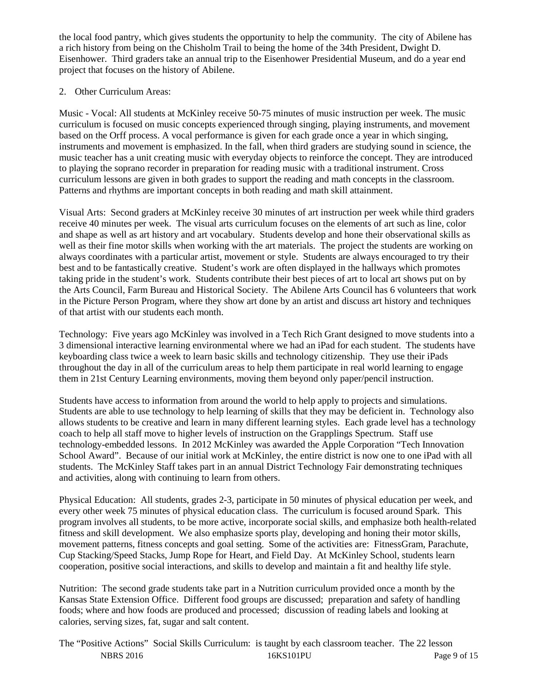the local food pantry, which gives students the opportunity to help the community. The city of Abilene has a rich history from being on the Chisholm Trail to being the home of the 34th President, Dwight D. Eisenhower. Third graders take an annual trip to the Eisenhower Presidential Museum, and do a year end project that focuses on the history of Abilene.

# 2. Other Curriculum Areas:

Music - Vocal: All students at McKinley receive 50-75 minutes of music instruction per week. The music curriculum is focused on music concepts experienced through singing, playing instruments, and movement based on the Orff process. A vocal performance is given for each grade once a year in which singing, instruments and movement is emphasized. In the fall, when third graders are studying sound in science, the music teacher has a unit creating music with everyday objects to reinforce the concept. They are introduced to playing the soprano recorder in preparation for reading music with a traditional instrument. Cross curriculum lessons are given in both grades to support the reading and math concepts in the classroom. Patterns and rhythms are important concepts in both reading and math skill attainment.

Visual Arts: Second graders at McKinley receive 30 minutes of art instruction per week while third graders receive 40 minutes per week. The visual arts curriculum focuses on the elements of art such as line, color and shape as well as art history and art vocabulary. Students develop and hone their observational skills as well as their fine motor skills when working with the art materials. The project the students are working on always coordinates with a particular artist, movement or style. Students are always encouraged to try their best and to be fantastically creative. Student's work are often displayed in the hallways which promotes taking pride in the student's work. Students contribute their best pieces of art to local art shows put on by the Arts Council, Farm Bureau and Historical Society. The Abilene Arts Council has 6 volunteers that work in the Picture Person Program, where they show art done by an artist and discuss art history and techniques of that artist with our students each month.

Technology: Five years ago McKinley was involved in a Tech Rich Grant designed to move students into a 3 dimensional interactive learning environmental where we had an iPad for each student. The students have keyboarding class twice a week to learn basic skills and technology citizenship. They use their iPads throughout the day in all of the curriculum areas to help them participate in real world learning to engage them in 21st Century Learning environments, moving them beyond only paper/pencil instruction.

Students have access to information from around the world to help apply to projects and simulations. Students are able to use technology to help learning of skills that they may be deficient in. Technology also allows students to be creative and learn in many different learning styles. Each grade level has a technology coach to help all staff move to higher levels of instruction on the Grapplings Spectrum. Staff use technology-embedded lessons. In 2012 McKinley was awarded the Apple Corporation "Tech Innovation School Award". Because of our initial work at McKinley, the entire district is now one to one iPad with all students. The McKinley Staff takes part in an annual District Technology Fair demonstrating techniques and activities, along with continuing to learn from others.

Physical Education: All students, grades 2-3, participate in 50 minutes of physical education per week, and every other week 75 minutes of physical education class. The curriculum is focused around Spark. This program involves all students, to be more active, incorporate social skills, and emphasize both health-related fitness and skill development. We also emphasize sports play, developing and honing their motor skills, movement patterns, fitness concepts and goal setting. Some of the activities are: FitnessGram, Parachute, Cup Stacking/Speed Stacks, Jump Rope for Heart, and Field Day. At McKinley School, students learn cooperation, positive social interactions, and skills to develop and maintain a fit and healthy life style.

Nutrition: The second grade students take part in a Nutrition curriculum provided once a month by the Kansas State Extension Office. Different food groups are discussed; preparation and safety of handling foods; where and how foods are produced and processed; discussion of reading labels and looking at calories, serving sizes, fat, sugar and salt content.

NBRS 2016 **16KS101PU** Page 9 of 15 The "Positive Actions" Social Skills Curriculum: is taught by each classroom teacher. The 22 lesson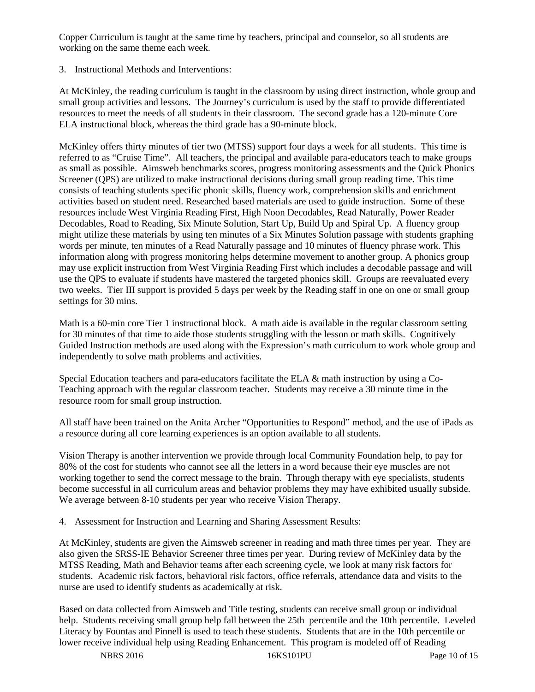Copper Curriculum is taught at the same time by teachers, principal and counselor, so all students are working on the same theme each week.

## 3. Instructional Methods and Interventions:

At McKinley, the reading curriculum is taught in the classroom by using direct instruction, whole group and small group activities and lessons. The Journey's curriculum is used by the staff to provide differentiated resources to meet the needs of all students in their classroom. The second grade has a 120-minute Core ELA instructional block, whereas the third grade has a 90-minute block.

McKinley offers thirty minutes of tier two (MTSS) support four days a week for all students. This time is referred to as "Cruise Time". All teachers, the principal and available para-educators teach to make groups as small as possible. Aimsweb benchmarks scores, progress monitoring assessments and the Quick Phonics Screener (QPS) are utilized to make instructional decisions during small group reading time. This time consists of teaching students specific phonic skills, fluency work, comprehension skills and enrichment activities based on student need. Researched based materials are used to guide instruction. Some of these resources include West Virginia Reading First, High Noon Decodables, Read Naturally, Power Reader Decodables, Road to Reading, Six Minute Solution, Start Up, Build Up and Spiral Up. A fluency group might utilize these materials by using ten minutes of a Six Minutes Solution passage with students graphing words per minute, ten minutes of a Read Naturally passage and 10 minutes of fluency phrase work. This information along with progress monitoring helps determine movement to another group. A phonics group may use explicit instruction from West Virginia Reading First which includes a decodable passage and will use the QPS to evaluate if students have mastered the targeted phonics skill. Groups are reevaluated every two weeks. Tier III support is provided 5 days per week by the Reading staff in one on one or small group settings for 30 mins.

Math is a 60-min core Tier 1 instructional block. A math aide is available in the regular classroom setting for 30 minutes of that time to aide those students struggling with the lesson or math skills. Cognitively Guided Instruction methods are used along with the Expression's math curriculum to work whole group and independently to solve math problems and activities.

Special Education teachers and para-educators facilitate the ELA & math instruction by using a Co-Teaching approach with the regular classroom teacher. Students may receive a 30 minute time in the resource room for small group instruction.

All staff have been trained on the Anita Archer "Opportunities to Respond" method, and the use of iPads as a resource during all core learning experiences is an option available to all students.

Vision Therapy is another intervention we provide through local Community Foundation help, to pay for 80% of the cost for students who cannot see all the letters in a word because their eye muscles are not working together to send the correct message to the brain. Through therapy with eye specialists, students become successful in all curriculum areas and behavior problems they may have exhibited usually subside. We average between 8-10 students per year who receive Vision Therapy.

4. Assessment for Instruction and Learning and Sharing Assessment Results:

At McKinley, students are given the Aimsweb screener in reading and math three times per year. They are also given the SRSS-IE Behavior Screener three times per year. During review of McKinley data by the MTSS Reading, Math and Behavior teams after each screening cycle, we look at many risk factors for students. Academic risk factors, behavioral risk factors, office referrals, attendance data and visits to the nurse are used to identify students as academically at risk.

Based on data collected from Aimsweb and Title testing, students can receive small group or individual help. Students receiving small group help fall between the 25th percentile and the 10th percentile. Leveled Literacy by Fountas and Pinnell is used to teach these students. Students that are in the 10th percentile or lower receive individual help using Reading Enhancement. This program is modeled off of Reading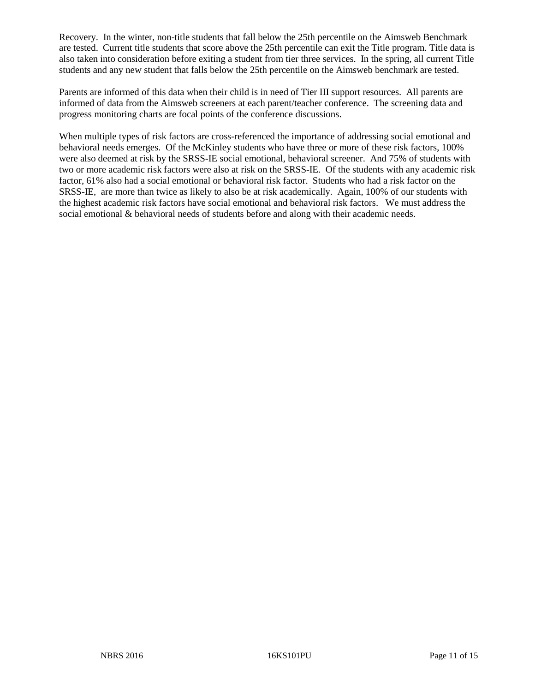Recovery. In the winter, non-title students that fall below the 25th percentile on the Aimsweb Benchmark are tested. Current title students that score above the 25th percentile can exit the Title program. Title data is also taken into consideration before exiting a student from tier three services. In the spring, all current Title students and any new student that falls below the 25th percentile on the Aimsweb benchmark are tested.

Parents are informed of this data when their child is in need of Tier III support resources. All parents are informed of data from the Aimsweb screeners at each parent/teacher conference. The screening data and progress monitoring charts are focal points of the conference discussions.

When multiple types of risk factors are cross-referenced the importance of addressing social emotional and behavioral needs emerges. Of the McKinley students who have three or more of these risk factors, 100% were also deemed at risk by the SRSS-IE social emotional, behavioral screener. And 75% of students with two or more academic risk factors were also at risk on the SRSS-IE. Of the students with any academic risk factor, 61% also had a social emotional or behavioral risk factor. Students who had a risk factor on the SRSS-IE, are more than twice as likely to also be at risk academically. Again, 100% of our students with the highest academic risk factors have social emotional and behavioral risk factors. We must address the social emotional & behavioral needs of students before and along with their academic needs.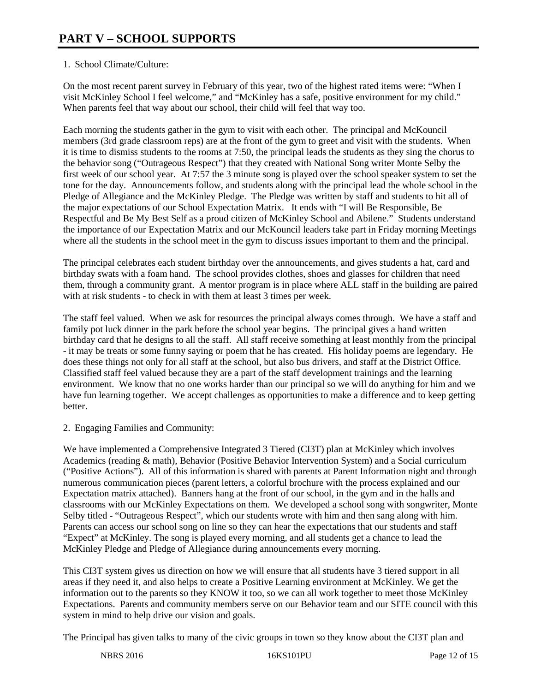# 1. School Climate/Culture:

On the most recent parent survey in February of this year, two of the highest rated items were: "When I visit McKinley School I feel welcome," and "McKinley has a safe, positive environment for my child." When parents feel that way about our school, their child will feel that way too.

Each morning the students gather in the gym to visit with each other. The principal and McKouncil members (3rd grade classroom reps) are at the front of the gym to greet and visit with the students. When it is time to dismiss students to the rooms at 7:50, the principal leads the students as they sing the chorus to the behavior song ("Outrageous Respect") that they created with National Song writer Monte Selby the first week of our school year. At 7:57 the 3 minute song is played over the school speaker system to set the tone for the day. Announcements follow, and students along with the principal lead the whole school in the Pledge of Allegiance and the McKinley Pledge. The Pledge was written by staff and students to hit all of the major expectations of our School Expectation Matrix. It ends with "I will Be Responsible, Be Respectful and Be My Best Self as a proud citizen of McKinley School and Abilene." Students understand the importance of our Expectation Matrix and our McKouncil leaders take part in Friday morning Meetings where all the students in the school meet in the gym to discuss issues important to them and the principal.

The principal celebrates each student birthday over the announcements, and gives students a hat, card and birthday swats with a foam hand. The school provides clothes, shoes and glasses for children that need them, through a community grant. A mentor program is in place where ALL staff in the building are paired with at risk students - to check in with them at least 3 times per week.

The staff feel valued. When we ask for resources the principal always comes through. We have a staff and family pot luck dinner in the park before the school year begins. The principal gives a hand written birthday card that he designs to all the staff. All staff receive something at least monthly from the principal - it may be treats or some funny saying or poem that he has created. His holiday poems are legendary. He does these things not only for all staff at the school, but also bus drivers, and staff at the District Office. Classified staff feel valued because they are a part of the staff development trainings and the learning environment. We know that no one works harder than our principal so we will do anything for him and we have fun learning together. We accept challenges as opportunities to make a difference and to keep getting better.

2. Engaging Families and Community:

We have implemented a Comprehensive Integrated 3 Tiered (CI3T) plan at McKinley which involves Academics (reading & math), Behavior (Positive Behavior Intervention System) and a Social curriculum ("Positive Actions"). All of this information is shared with parents at Parent Information night and through numerous communication pieces (parent letters, a colorful brochure with the process explained and our Expectation matrix attached). Banners hang at the front of our school, in the gym and in the halls and classrooms with our McKinley Expectations on them. We developed a school song with songwriter, Monte Selby titled - "Outrageous Respect", which our students wrote with him and then sang along with him. Parents can access our school song on line so they can hear the expectations that our students and staff "Expect" at McKinley. The song is played every morning, and all students get a chance to lead the McKinley Pledge and Pledge of Allegiance during announcements every morning.

This CI3T system gives us direction on how we will ensure that all students have 3 tiered support in all areas if they need it, and also helps to create a Positive Learning environment at McKinley. We get the information out to the parents so they KNOW it too, so we can all work together to meet those McKinley Expectations. Parents and community members serve on our Behavior team and our SITE council with this system in mind to help drive our vision and goals.

The Principal has given talks to many of the civic groups in town so they know about the CI3T plan and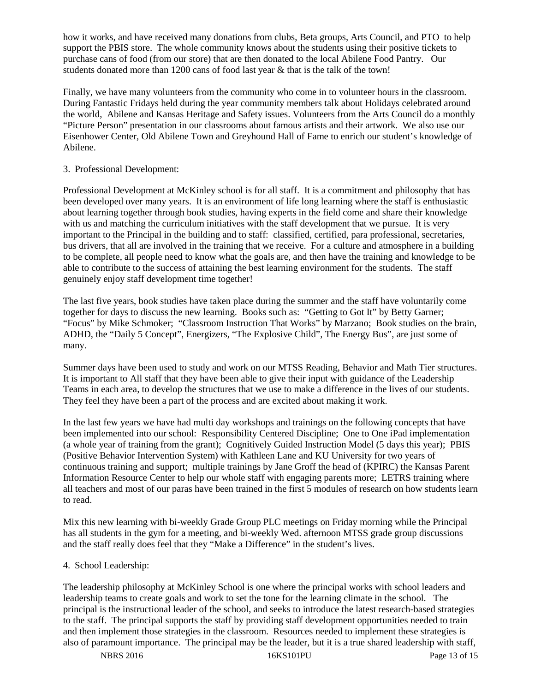how it works, and have received many donations from clubs, Beta groups, Arts Council, and PTO to help support the PBIS store. The whole community knows about the students using their positive tickets to purchase cans of food (from our store) that are then donated to the local Abilene Food Pantry. Our students donated more than 1200 cans of food last year & that is the talk of the town!

Finally, we have many volunteers from the community who come in to volunteer hours in the classroom. During Fantastic Fridays held during the year community members talk about Holidays celebrated around the world, Abilene and Kansas Heritage and Safety issues. Volunteers from the Arts Council do a monthly "Picture Person" presentation in our classrooms about famous artists and their artwork. We also use our Eisenhower Center, Old Abilene Town and Greyhound Hall of Fame to enrich our student's knowledge of Abilene.

### 3. Professional Development:

Professional Development at McKinley school is for all staff. It is a commitment and philosophy that has been developed over many years. It is an environment of life long learning where the staff is enthusiastic about learning together through book studies, having experts in the field come and share their knowledge with us and matching the curriculum initiatives with the staff development that we pursue. It is very important to the Principal in the building and to staff: classified, certified, para professional, secretaries, bus drivers, that all are involved in the training that we receive. For a culture and atmosphere in a building to be complete, all people need to know what the goals are, and then have the training and knowledge to be able to contribute to the success of attaining the best learning environment for the students. The staff genuinely enjoy staff development time together!

The last five years, book studies have taken place during the summer and the staff have voluntarily come together for days to discuss the new learning. Books such as: "Getting to Got It" by Betty Garner; "Focus" by Mike Schmoker; "Classroom Instruction That Works" by Marzano; Book studies on the brain, ADHD, the "Daily 5 Concept", Energizers, "The Explosive Child", The Energy Bus", are just some of many.

Summer days have been used to study and work on our MTSS Reading, Behavior and Math Tier structures. It is important to All staff that they have been able to give their input with guidance of the Leadership Teams in each area, to develop the structures that we use to make a difference in the lives of our students. They feel they have been a part of the process and are excited about making it work.

In the last few years we have had multi day workshops and trainings on the following concepts that have been implemented into our school: Responsibility Centered Discipline; One to One iPad implementation (a whole year of training from the grant); Cognitively Guided Instruction Model (5 days this year); PBIS (Positive Behavior Intervention System) with Kathleen Lane and KU University for two years of continuous training and support; multiple trainings by Jane Groff the head of (KPIRC) the Kansas Parent Information Resource Center to help our whole staff with engaging parents more; LETRS training where all teachers and most of our paras have been trained in the first 5 modules of research on how students learn to read.

Mix this new learning with bi-weekly Grade Group PLC meetings on Friday morning while the Principal has all students in the gym for a meeting, and bi-weekly Wed. afternoon MTSS grade group discussions and the staff really does feel that they "Make a Difference" in the student's lives.

#### 4. School Leadership:

The leadership philosophy at McKinley School is one where the principal works with school leaders and leadership teams to create goals and work to set the tone for the learning climate in the school. The principal is the instructional leader of the school, and seeks to introduce the latest research-based strategies to the staff. The principal supports the staff by providing staff development opportunities needed to train and then implement those strategies in the classroom. Resources needed to implement these strategies is also of paramount importance. The principal may be the leader, but it is a true shared leadership with staff,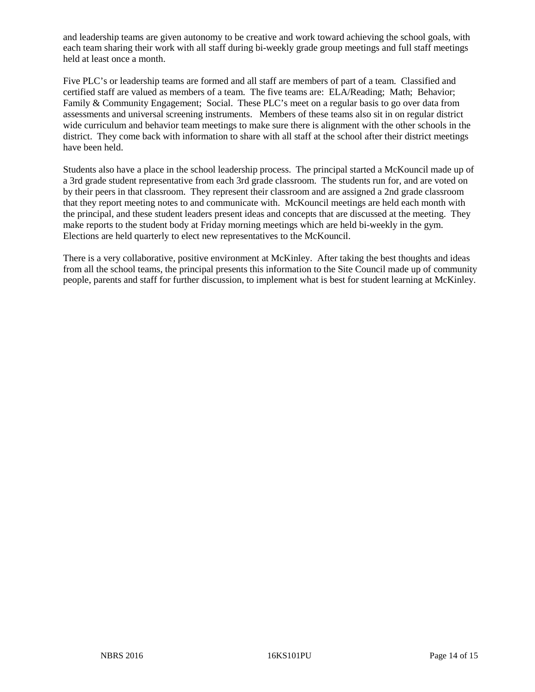and leadership teams are given autonomy to be creative and work toward achieving the school goals, with each team sharing their work with all staff during bi-weekly grade group meetings and full staff meetings held at least once a month.

Five PLC's or leadership teams are formed and all staff are members of part of a team. Classified and certified staff are valued as members of a team. The five teams are: ELA/Reading; Math; Behavior; Family & Community Engagement; Social. These PLC's meet on a regular basis to go over data from assessments and universal screening instruments. Members of these teams also sit in on regular district wide curriculum and behavior team meetings to make sure there is alignment with the other schools in the district. They come back with information to share with all staff at the school after their district meetings have been held.

Students also have a place in the school leadership process. The principal started a McKouncil made up of a 3rd grade student representative from each 3rd grade classroom. The students run for, and are voted on by their peers in that classroom. They represent their classroom and are assigned a 2nd grade classroom that they report meeting notes to and communicate with. McKouncil meetings are held each month with the principal, and these student leaders present ideas and concepts that are discussed at the meeting. They make reports to the student body at Friday morning meetings which are held bi-weekly in the gym. Elections are held quarterly to elect new representatives to the McKouncil.

There is a very collaborative, positive environment at McKinley. After taking the best thoughts and ideas from all the school teams, the principal presents this information to the Site Council made up of community people, parents and staff for further discussion, to implement what is best for student learning at McKinley.